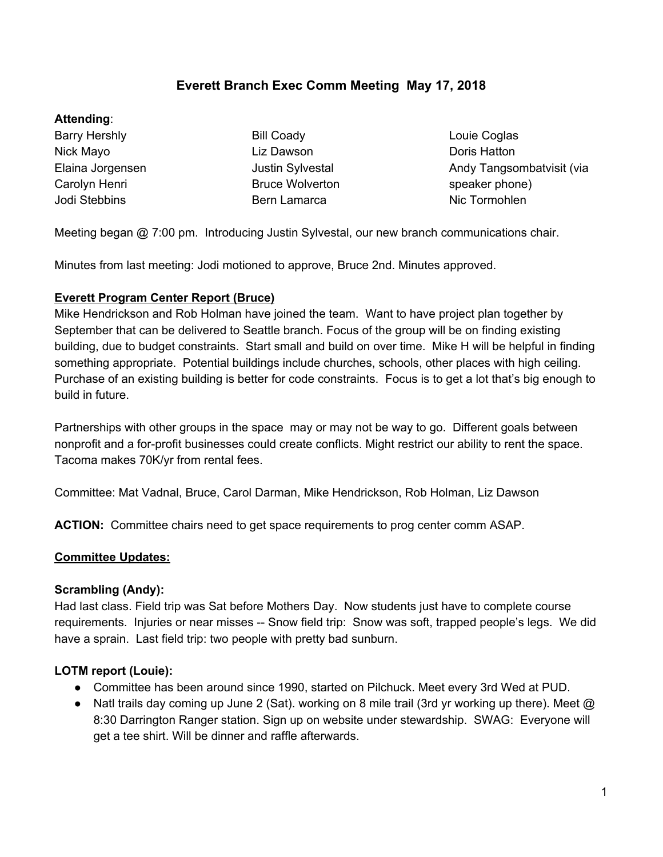### **Everett Branch Exec Comm Meeting May 17, 2018**

#### **Attending**:

Barry Hershly Nick Mayo Elaina Jorgensen Carolyn Henri Jodi Stebbins

Bill Coady Liz Dawson Justin Sylvestal Bruce Wolverton Bern Lamarca

Louie Coglas Doris Hatton Andy Tangsombatvisit (via speaker phone) Nic Tormohlen

Meeting began @ 7:00 pm. Introducing Justin Sylvestal, our new branch communications chair.

Minutes from last meeting: Jodi motioned to approve, Bruce 2nd. Minutes approved.

#### **Everett Program Center Report (Bruce)**

Mike Hendrickson and Rob Holman have joined the team. Want to have project plan together by September that can be delivered to Seattle branch. Focus of the group will be on finding existing building, due to budget constraints. Start small and build on over time. Mike H will be helpful in finding something appropriate. Potential buildings include churches, schools, other places with high ceiling. Purchase of an existing building is better for code constraints. Focus is to get a lot that's big enough to build in future.

Partnerships with other groups in the space may or may not be way to go. Different goals between nonprofit and a for-profit businesses could create conflicts. Might restrict our ability to rent the space. Tacoma makes 70K/yr from rental fees.

Committee: Mat Vadnal, Bruce, Carol Darman, Mike Hendrickson, Rob Holman, Liz Dawson

**ACTION:** Committee chairs need to get space requirements to prog center comm ASAP.

### **Committee Updates:**

#### **Scrambling (Andy):**

Had last class. Field trip was Sat before Mothers Day. Now students just have to complete course requirements. Injuries or near misses -- Snow field trip: Snow was soft, trapped people's legs. We did have a sprain. Last field trip: two people with pretty bad sunburn.

### **LOTM report (Louie):**

- Committee has been around since 1990, started on Pilchuck. Meet every 3rd Wed at PUD.
- Natl trails day coming up June 2 (Sat). working on 8 mile trail (3rd yr working up there). Meet  $@$ 8:30 Darrington Ranger station. Sign up on website under stewardship. SWAG: Everyone will get a tee shirt. Will be dinner and raffle afterwards.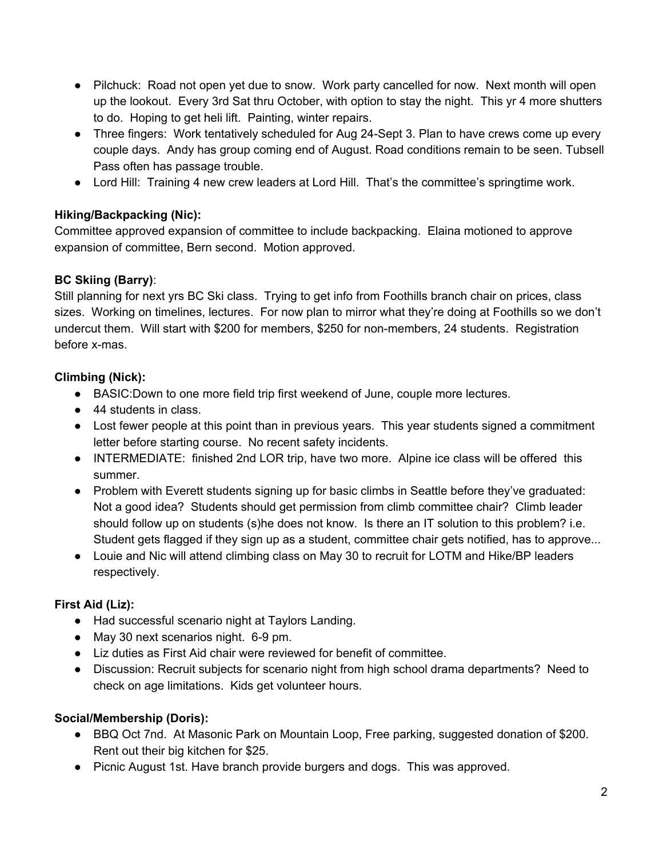- Pilchuck: Road not open yet due to snow. Work party cancelled for now. Next month will open up the lookout. Every 3rd Sat thru October, with option to stay the night. This yr 4 more shutters to do. Hoping to get heli lift. Painting, winter repairs.
- Three fingers: Work tentatively scheduled for Aug 24-Sept 3. Plan to have crews come up every couple days. Andy has group coming end of August. Road conditions remain to be seen. Tubsell Pass often has passage trouble.
- Lord Hill: Training 4 new crew leaders at Lord Hill. That's the committee's springtime work.

## **Hiking/Backpacking (Nic):**

Committee approved expansion of committee to include backpacking. Elaina motioned to approve expansion of committee, Bern second. Motion approved.

## **BC Skiing (Barry)**:

Still planning for next yrs BC Ski class. Trying to get info from Foothills branch chair on prices, class sizes. Working on timelines, lectures. For now plan to mirror what they're doing at Foothills so we don't undercut them. Will start with \$200 for members, \$250 for non-members, 24 students. Registration before x-mas.

## **Climbing (Nick):**

- BASIC:Down to one more field trip first weekend of June, couple more lectures.
- 44 students in class.
- Lost fewer people at this point than in previous years. This year students signed a commitment letter before starting course. No recent safety incidents.
- INTERMEDIATE: finished 2nd LOR trip, have two more. Alpine ice class will be offered this summer.
- Problem with Everett students signing up for basic climbs in Seattle before they've graduated: Not a good idea? Students should get permission from climb committee chair? Climb leader should follow up on students (s)he does not know. Is there an IT solution to this problem? i.e. Student gets flagged if they sign up as a student, committee chair gets notified, has to approve...
- Louie and Nic will attend climbing class on May 30 to recruit for LOTM and Hike/BP leaders respectively.

# **First Aid (Liz):**

- Had successful scenario night at Taylors Landing.
- May 30 next scenarios night. 6-9 pm.
- Liz duties as First Aid chair were reviewed for benefit of committee.
- Discussion: Recruit subjects for scenario night from high school drama departments? Need to check on age limitations. Kids get volunteer hours.

# **Social/Membership (Doris):**

- BBQ Oct 7nd. At Masonic Park on Mountain Loop, Free parking, suggested donation of \$200. Rent out their big kitchen for \$25.
- Picnic August 1st. Have branch provide burgers and dogs. This was approved.